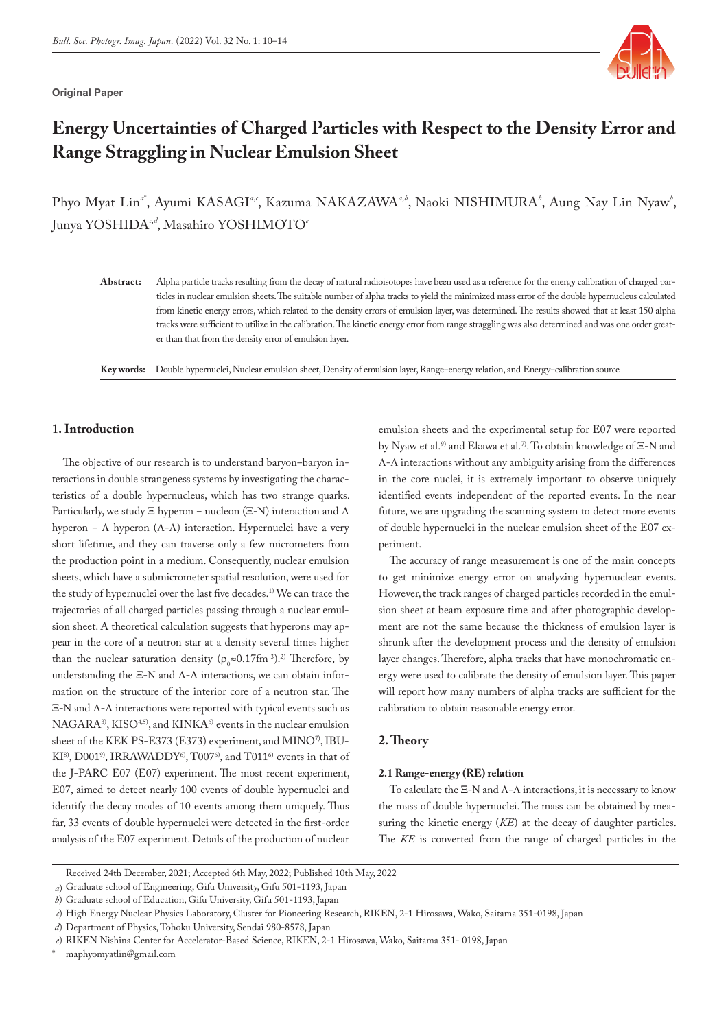**Original Paper**



# **Energy Uncertainties of Charged Particles with Respect to the Density Error and Range Straggling in Nuclear Emulsion Sheet**

Phyo Myat Lin<sup>a\*</sup>, Ayumi KASAGI<sup>a,c</sup>, Kazuma NAKAZAWA<sup>a,b</sup>, Naoki NISHIMURA<sup>b</sup>, Aung Nay Lin Nyaw<sup>6</sup>, Junya YOSHIDA*<sup>c</sup>*,*<sup>d</sup>* , Masahiro YOSHIMOTO*<sup>e</sup>*

**Abstract:** Alpha particle tracks resulting from the decay of natural radioisotopes have been used as a reference for the energy calibration of charged particles in nuclear emulsion sheets. The suitable number of alpha tracks to yield the minimized mass error of the double hypernucleus calculated from kinetic energy errors, which related to the density errors of emulsion layer, was determined. The results showed that at least 150 alpha tracks were sufficient to utilize in the calibration. The kinetic energy error from range straggling was also determined and was one order greater than that from the density error of emulsion layer.

Key words: Double hypernuclei, Nuclear emulsion sheet, Density of emulsion layer, Range-energy relation, and Energy-calibration source

# 1**. Introduction**

The objective of our research is to understand baryon-baryon interactions in double strangeness systems by investigating the characteristics of a double hypernucleus, which has two strange quarks. Particularly, we study  $\Xi$  hyperon – nucleon ( $\Xi$ -N) interaction and  $\Lambda$ hyperon – Λ hyperon  $(Λ$ -Λ) interaction. Hypernuclei have a very short lifetime, and they can traverse only a few micrometers from the production point in a medium. Consequently, nuclear emulsion sheets, which have a submicrometer spatial resolution, were used for the study of hypernuclei over the last five decades.<sup>1)</sup> We can trace the trajectories of all charged particles passing through a nuclear emulsion sheet. A theoretical calculation suggests that hyperons may appear in the core of a neutron star at a density several times higher than the nuclear saturation density  $(\rho_0 \approx 0.17 \text{fm}^{-3})$ .<sup>2)</sup> Therefore, by understanding the Ξ-Ν and Λ-Λ interactions, we can obtain information on the structure of the interior core of a neutron star. The Ξ-Ν and Λ-Λ interactions were reported with typical events such as NAGARA<sup>3)</sup>, KISO<sup>4,5)</sup>, and KINKA<sup>6)</sup> events in the nuclear emulsion sheet of the KEK PS-E373 (E373) experiment, and MINO<sup>7</sup>, IBU-KI<sup>8)</sup>, D001<sup>9)</sup>, IRRAWADDY<sup>6)</sup>, T007<sup>6)</sup>, and T011<sup>6)</sup> events in that of the J-PARC E07 (E07) experiment. The most recent experiment, E07, aimed to detect nearly 100 events of double hypernuclei and identify the decay modes of 10 events among them uniquely. Thus far, 33 events of double hypernuclei were detected in the first-order analysis of the E07 experiment. Details of the production of nuclear

emulsion sheets and the experimental setup for E07 were reported by Nyaw et al.<sup>9)</sup> and Ekawa et al.<sup>7)</sup>. To obtain knowledge of Ξ-Ν and Λ-Λ interactions without any ambiguity arising from the differences in the core nuclei, it is extremely important to observe uniquely identified events independent of the reported events. In the near future, we are upgrading the scanning system to detect more events of double hypernuclei in the nuclear emulsion sheet of the E07 experiment.

The accuracy of range measurement is one of the main concepts to get minimize energy error on analyzing hypernuclear events. However, the track ranges of charged particles recorded in the emulsion sheet at beam exposure time and after photographic development are not the same because the thickness of emulsion layer is shrunk after the development process and the density of emulsion layer changes. Therefore, alpha tracks that have monochromatic energy were used to calibrate the density of emulsion layer. This paper will report how many numbers of alpha tracks are sufficient for the calibration to obtain reasonable energy error.

## **2. Theory**

## **2.1 Range-energy (RE) relation**

To calculate the Ξ-Ν and Λ-Λ interactions, it is necessary to know the mass of double hypernuclei. The mass can be obtained by measuring the kinetic energy (*KE*) at the decay of daughter particles. The *KE* is converted from the range of charged particles in the

\* maphyomyatlin@gmail.com

Received 24th December, 2021; Accepted 6th May, 2022; Published 10th May, 2022

*a*) Graduate school of Engineering, Gifu University, Gifu 501-1193, Japan

*b*) Graduate school of Education, Gifu University, Gifu 501-1193, Japan

*c*) High Energy Nuclear Physics Laboratory, Cluster for Pioneering Research, RIKEN, 2-1 Hirosawa, Wako, Saitama 351-0198, Japan

*d*) Department of Physics, Tohoku University, Sendai 980-8578, Japan

*e*) RIKEN Nishina Center for Accelerator-Based Science, RIKEN, 2-1 Hirosawa, Wako, Saitama 351- 0198, Japan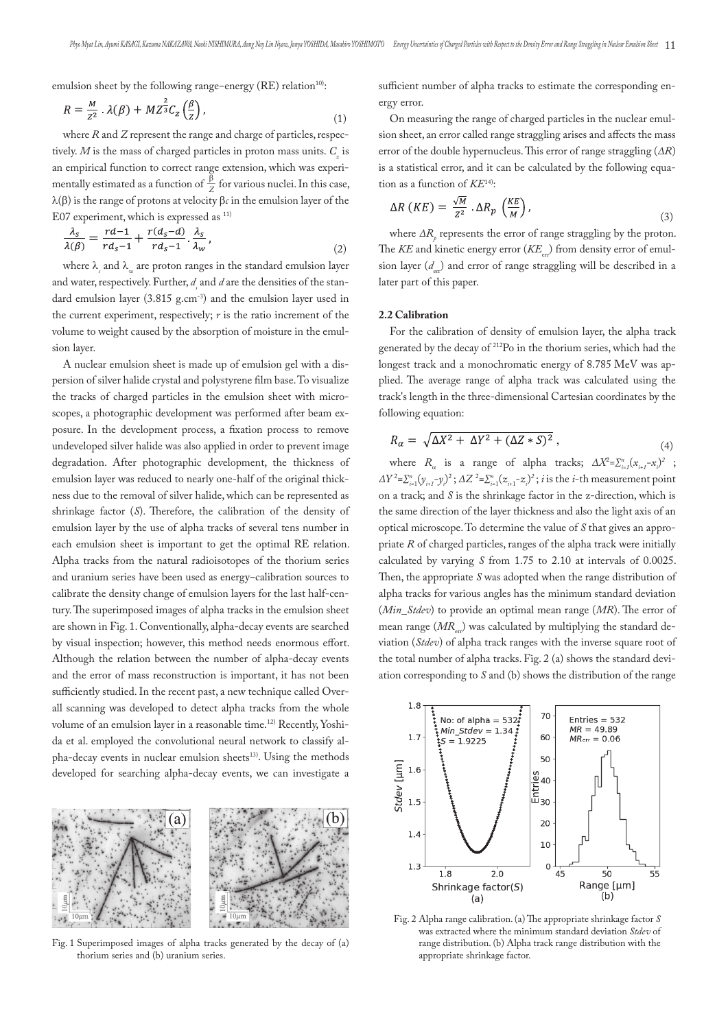emulsion sheet by the following range-energy (RE) relation<sup>10)</sup>:

$$
R = \frac{M}{Z^2} \cdot \lambda(\beta) + M Z^{\frac{2}{3}} C_z \left(\frac{\beta}{Z}\right),\tag{1}
$$

where *R* and *Z* represent the range and charge of particles, respectively. *M* is the mass of charged particles in proton mass units.  $C_z$  is an empirical function to correct range extension, which was experimentally estimated as a function of  $\frac{\hat{\beta}}{Z}$  for various nuclei. In this case, λ(β) is the range of protons at velocity β*c* in the emulsion layer of the E07 experiment, which is expressed as  $11$ )

$$
\frac{\lambda_s}{\lambda(\beta)} = \frac{rd - 1}{rd_s - 1} + \frac{r(d_s - d)}{rd_s - 1} \cdot \frac{\lambda_s}{\lambda_w},\tag{2}
$$

where  $\lambda_{\text{\tiny S}}$  and  $\lambda_w$  are proton ranges in the standard emulsion layer and water, respectively. Further,  $d_s$  and  $d$  are the densities of the standard emulsion layer (3.815 g.cm-3) and the emulsion layer used in the current experiment, respectively; *r* is the ratio increment of the volume to weight caused by the absorption of moisture in the emulsion layer.

A nuclear emulsion sheet is made up of emulsion gel with a dispersion of silver halide crystal and polystyrene film base. To visualize the tracks of charged particles in the emulsion sheet with microscopes, a photographic development was performed after beam exposure. In the development process, a fixation process to remove undeveloped silver halide was also applied in order to prevent image degradation. After photographic development, the thickness of emulsion layer was reduced to nearly one-half of the original thickness due to the removal of silver halide, which can be represented as shrinkage factor (*S*). Therefore, the calibration of the density of emulsion layer by the use of alpha tracks of several tens number in each emulsion sheet is important to get the optimal RE relation. Alpha tracks from the natural radioisotopes of the thorium series and uranium series have been used as energy-calibration sources to calibrate the density change of emulsion layers for the last half-century. The superimposed images of alpha tracks in the emulsion sheet are shown in Fig. 1. Conventionally, alpha-decay events are searched by visual inspection; however, this method needs enormous effort. Although the relation between the number of alpha-decay events and the error of mass reconstruction is important, it has not been sufficiently studied. In the recent past, a new technique called Overall scanning was developed to detect alpha tracks from the whole volume of an emulsion layer in a reasonable time.<sup>12)</sup> Recently, Yoshida et al. employed the convolutional neural network to classify alpha-decay events in nuclear emulsion sheets<sup>13)</sup>. Using the methods developed for searching alpha-decay events, we can investigate a



Fig. 1 Superimposed images of alpha tracks generated by the decay of (a) thorium series and (b) uranium series.

sufficient number of alpha tracks to estimate the corresponding energy error.

On measuring the range of charged particles in the nuclear emulsion sheet, an error called range straggling arises and affects the mass error of the double hypernucleus. This error of range straggling (*∆R*) is a statistical error, and it can be calculated by the following equation as a function of *KE*14):

$$
\Delta R \left( KE \right) = \frac{\sqrt{M}}{Z^2} \cdot \Delta R_p \left( \frac{KE}{M} \right), \tag{3}
$$

where  $\Delta R$ <sub>p</sub> represents the error of range straggling by the proton. The *KE* and kinetic energy error (*KE*) from density error of emulsion layer (d<sub>err</sub>) and error of range straggling will be described in a later part of this paper.

## **2.2 Calibration**

For the calibration of density of emulsion layer, the alpha track generated by the decay of 212Po in the thorium series, which had the longest track and a monochromatic energy of 8.785 MeV was applied. The average range of alpha track was calculated using the track's length in the three-dimensional Cartesian coordinates by the following equation:

$$
R_{\alpha} = \sqrt{\Delta X^2 + \Delta Y^2 + (\Delta Z * S)^2},\tag{4}
$$

where  $R_{\alpha}$  is a range of alpha tracks;  $\Delta X^2 = \sum_{i=1}^{n} (x_{i+1} - x_i)^2$ ; *∆Y* <sup>2</sup>=∑<sub>*i*=1</sub>(*y*<sub>*i*+1</sub>-*y*<sub>i</sub>)<sup>2</sup>; ∆Z <sup>2</sup>=∑<sub>*i*=1</sub>(z<sub>*i*+1</sub>-z<sub>i</sub>)<sup>2</sup>; *i* is the *i*-th measurement point on a track; and *S* is the shrinkage factor in the z-direction, which is the same direction of the layer thickness and also the light axis of an optical microscope. To determine the value of *S* that gives an appropriate *R* of charged particles, ranges of the alpha track were initially calculated by varying *S* from 1.75 to 2.10 at intervals of 0.0025. Then, the appropriate *S* was adopted when the range distribution of alpha tracks for various angles has the minimum standard deviation (*Min\_Stdev*) to provide an optimal mean range (*MR*). The error of mean range  $(MR)$  was calculated by multiplying the standard deviation (*Stdev*) of alpha track ranges with the inverse square root of the total number of alpha tracks. Fig. 2 (a) shows the standard deviation corresponding to *S* and (b) shows the distribution of the range



Fig. 2 Alpha range calibration. (a) The appropriate shrinkage factor *S* was extracted where the minimum standard deviation *Stdev* of range distribution. (b) Alpha track range distribution with the appropriate shrinkage factor.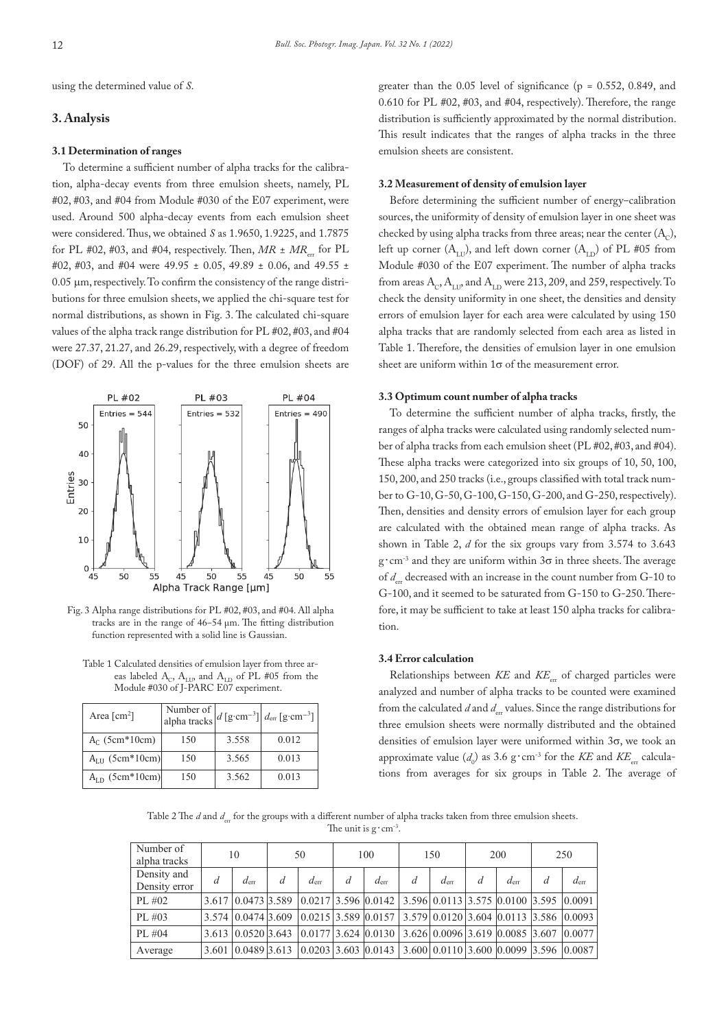using the determined value of *S*.

## **3. Analysis**

## **3.1 Determination of ranges**

To determine a sufficient number of alpha tracks for the calibration, alpha-decay events from three emulsion sheets, namely, PL #02, #03, and #04 from Module #030 of the E07 experiment, were used. Around 500 alpha-decay events from each emulsion sheet were considered. Thus, we obtained *S* as 1.9650, 1.9225, and 1.7875 for PL  $\#02$ ,  $\#03$ , and  $\#04$ , respectively. Then,  $MR \pm MR$  for PL #02, #03, and #04 were 49.95 ± 0.05, 49.89 ± 0.06, and 49.55 ± 0.05 μm, respectively. To confirm the consistency of the range distributions for three emulsion sheets, we applied the chi-square test for normal distributions, as shown in Fig. 3. The calculated chi-square values of the alpha track range distribution for PL #02, #03, and #04 were 27.37, 21.27, and 26.29, respectively, with a degree of freedom (DOF) of 29. All the p-values for the three emulsion sheets are



Fig. 3 Alpha range distributions for PL #02, #03, and #04. All alpha tracks are in the range of  $46-54 \mu m$ . The fitting distribution function represented with a solid line is Gaussian.

Table 1 Calculated densities of emulsion layer from three areas labeled  $A_C$ ,  $A_{LU}$ , and  $A_{LD}$  of PL #05 from the Module #030 of J-PARC E07 experiment.

| Area $\lceil$ cm <sup>2</sup> $\rceil$ |     |       | Number of $\begin{vmatrix} d \text{ [g-cm}^{-3} \end{vmatrix}$ $d_{\text{err}}$ [g·cm <sup>-3</sup> ] |  |  |
|----------------------------------------|-----|-------|-------------------------------------------------------------------------------------------------------|--|--|
| $A_C$ (5cm*10cm)                       | 150 | 3.558 | 0.012                                                                                                 |  |  |
| $AIII$ (5cm*10cm)                      | 150 | 3.565 | 0.013                                                                                                 |  |  |
| $ALD$ (5cm*10cm)                       | 150 | 3.562 | 0.013                                                                                                 |  |  |

greater than the  $0.05$  level of significance ( $p = 0.552$ ,  $0.849$ , and 0.610 for PL #02, #03, and #04, respectively). Therefore, the range distribution is sufficiently approximated by the normal distribution. This result indicates that the ranges of alpha tracks in the three emulsion sheets are consistent.

#### **3.2 Measurement of density of emulsion layer**

Before determining the sufficient number of energy-calibration sources, the uniformity of density of emulsion layer in one sheet was checked by using alpha tracks from three areas; near the center  $(A<sub>c</sub>)$ , left up corner  $(A_{\text{UL}})$ , and left down corner  $(A_{\text{LD}})$  of PL #05 from Module #030 of the E07 experiment. The number of alpha tracks from areas  $A_C$ ,  $A_{L1}$ , and  $A_{LD}$  were 213, 209, and 259, respectively. To check the density uniformity in one sheet, the densities and density errors of emulsion layer for each area were calculated by using 150 alpha tracks that are randomly selected from each area as listed in Table 1. Therefore, the densities of emulsion layer in one emulsion sheet are uniform within  $1\sigma$  of the measurement error.

#### **3.3 Optimum count number of alpha tracks**

To determine the sufficient number of alpha tracks, firstly, the ranges of alpha tracks were calculated using randomly selected number of alpha tracks from each emulsion sheet (PL #02, #03, and #04). These alpha tracks were categorized into six groups of 10, 50, 100, 150, 200, and 250 tracks (i.e., groups classified with total track number to G-10, G-50, G-100, G-150, G-200, and G-250, respectively). Then, densities and density errors of emulsion layer for each group are calculated with the obtained mean range of alpha tracks. As shown in Table 2, *d* for the six groups vary from 3.574 to 3.643 g・cm-3 and they are uniform within 3σ in three sheets. The average of  $d_{\text{err}}$  decreased with an increase in the count number from G-10 to G-100, and it seemed to be saturated from G-150 to G-250. Therefore, it may be sufficient to take at least 150 alpha tracks for calibration.

#### **3.4 Error calculation**

Relationships between *KE* and *KE*<sub>err</sub> of charged particles were analyzed and number of alpha tracks to be counted were examined from the calculated *d* and  $d_{\text{err}}$  values. Since the range distributions for three emulsion sheets were normally distributed and the obtained densities of emulsion layer were uniformed within 3σ, we took an approximate value ( $d_0$ ) as 3.6 g·cm<sup>-3</sup> for the *KE* and *KE*<sub>err</sub> calculations from averages for six groups in Table 2. The average of

Table 2 The *d* and *d* for the groups with a different number of alpha tracks taken from three emulsion sheets. The unit is  $g \cdot cm^{-3}$ .

| Number of<br>alpha tracks    | 10 |               | 50             |                  | 100 |                                                                                                       | 150            |                  | 200 |                  | 250 |               |
|------------------------------|----|---------------|----------------|------------------|-----|-------------------------------------------------------------------------------------------------------|----------------|------------------|-----|------------------|-----|---------------|
| Density and<br>Density error | d  | $d_{\rm err}$ | $\overline{d}$ | $d_{\text{err}}$ | d   | $d_{\text{err}}$                                                                                      | $\overline{d}$ | $d_{\text{err}}$ | d   | $d_{\text{err}}$ | d   | $d_{\rm err}$ |
| PL #02                       |    |               |                |                  |     | 3.617 0.0473 3.589 0.0217 3.596 0.0142 3.596 0.0113 3.575 0.0100 3.595 0.0091                         |                |                  |     |                  |     |               |
| PL #03                       |    |               |                |                  |     | $3.574$   0.0474   3.609   0.0215   3.589   0.0157   3.579   0.0120   3.604   0.0113   3.586   0.0093 |                |                  |     |                  |     |               |
| PL#04                        |    |               |                |                  |     | 3.613 0.0520 3.643 0.0177 3.624 0.0130 3.626 0.0096 3.619 0.0085 3.607 0.0077                         |                |                  |     |                  |     |               |
| Average                      |    |               |                |                  |     | 3.601 0.0489 3.613 0.0203 3.603 0.0143 3.600 0.0110 3.600 0.0099 3.596 0.0087                         |                |                  |     |                  |     |               |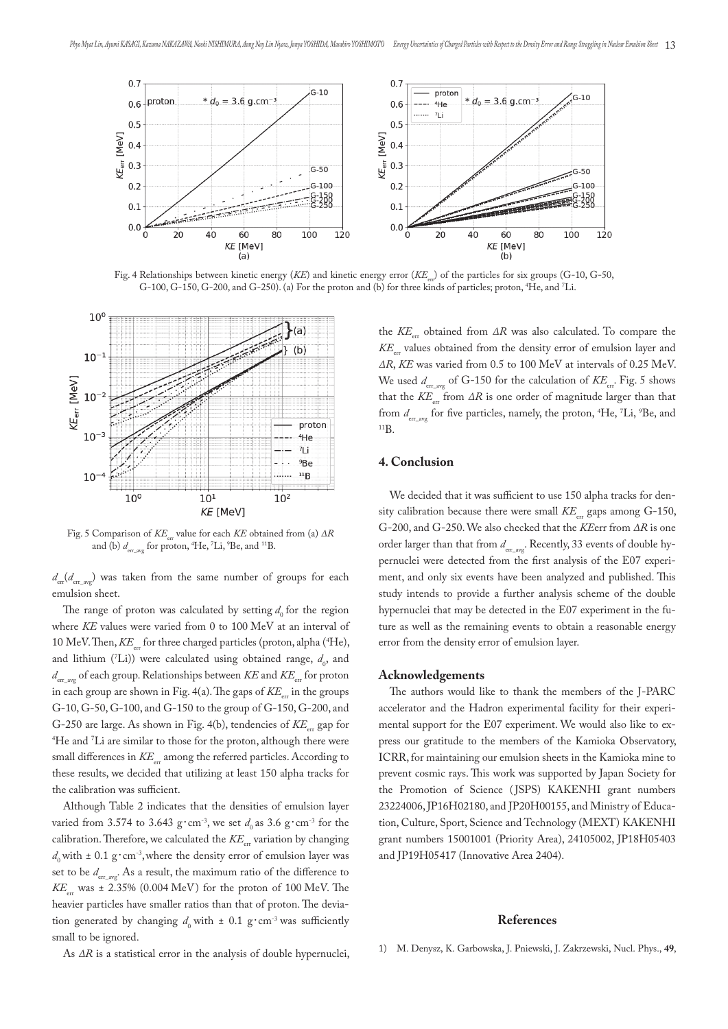

Fig. 4 Relationships between kinetic energy (*KE*) and kinetic energy error (*KE<sub>err</sub>*) of the particles for six groups (G-10, G-50, G-100, G-150, G-200, and G-250). (a) For the proton and (b) for three kinds of particles; proton, 4 He, and 7 Li.



Fig. 5 Comparison of  $KE_{er}$  value for each  $KE$  obtained from (a)  $\Delta R$ and (b)  $d_{\text{err\_avg}}$  for proton, <sup>4</sup>He, <sup>7</sup>Li, <sup>9</sup>Be, and <sup>11</sup>B.

 $d_{\text{err}}(d_{\text{err}}$ <sub>err</sub> $(\text{arc})$  was taken from the same number of groups for each emulsion sheet.

The range of proton was calculated by setting  $d_0$  for the region where *KE* values were varied from 0 to 100 MeV at an interval of 10 MeV. Then,  $\textit{KE}_{\rm err}$  for three charged particles (proton, alpha (<sup>4</sup>He), and lithium (<sup>7</sup>Li)) were calculated using obtained range,  $d_0$ , and  $d_{\text{err} \text{ avv}}$  of each group. Relationships between *KE* and *KE*<sub>err</sub> for proton in each group are shown in Fig.  $4(a)$ . The gaps of  $KE_{er}$  in the groups G-10, G-50, G-100, and G-150 to the group of G-150, G-200, and G-250 are large. As shown in Fig. 4(b), tendencies of  $KE_{cr}$  gap for 4 He and 7 Li are similar to those for the proton, although there were small differences in *KE* among the referred particles. According to these results, we decided that utilizing at least 150 alpha tracks for the calibration was sufficient.

Although Table 2 indicates that the densities of emulsion layer varied from 3.574 to 3.643 g·cm<sup>-3</sup>, we set  $d_0$  as 3.6 g·cm<sup>-3</sup> for the calibration. Therefore, we calculated the *KE*<sub>err</sub> variation by changing  $d_0$  with  $\pm$  0.1 g·cm<sup>-3</sup>, where the density error of emulsion layer was set to be  $d_{\text{err}-\text{avg}}$ . As a result, the maximum ratio of the difference to  $KE<sub>err</sub>$  was  $\pm$  2.35% (0.004 MeV) for the proton of 100 MeV. The heavier particles have smaller ratios than that of proton. The deviation generated by changing  $d_0$  with  $\pm$  0.1 g·cm<sup>-3</sup> was sufficiently small to be ignored.

the *KE*<sub>err</sub> obtained from *∆R* was also calculated. To compare the *KE*<sub>err</sub> values obtained from the density error of emulsion layer and *∆R*, *KE* was varied from 0.5 to 100 MeV at intervals of 0.25 MeV. We used  $d_{err}$  of G-150 for the calculation of  $KE_{err}$ . Fig. 5 shows that the  $KE_{\text{err}}$  from  $\Delta R$  is one order of magnitude larger than that from  $d_{\text{err\_avg}}$  for five particles, namely, the proton, <sup>4</sup>He, <sup>7</sup>Li, <sup>9</sup>Be, and 11B.

## **4. Conclusion**

We decided that it was sufficient to use 150 alpha tracks for density calibration because there were small  $KE_{er}$  gaps among G-150, G-200, and G-250. We also checked that the *KE*err from *∆R* is one order larger than that from  $d_{\text{err\_avg}}$ . Recently, 33 events of double hypernuclei were detected from the first analysis of the E07 experiment, and only six events have been analyzed and published. This study intends to provide a further analysis scheme of the double hypernuclei that may be detected in the E07 experiment in the future as well as the remaining events to obtain a reasonable energy error from the density error of emulsion layer.

## **Acknowledgements**

The authors would like to thank the members of the J-PARC accelerator and the Hadron experimental facility for their experimental support for the E07 experiment. We would also like to express our gratitude to the members of the Kamioka Observatory, ICRR, for maintaining our emulsion sheets in the Kamioka mine to prevent cosmic rays. This work was supported by Japan Society for the Promotion of Science (JSPS) KAKENHI grant numbers 23224006, JP16H02180, and JP20H00155, and Ministry of Education, Culture, Sport, Science and Technology (MEXT) KAKENHI grant numbers 15001001 (Priority Area), 24105002, JP18H05403 and JP19H05417 (Innovative Area 2404).

# **References**

As *∆R* is a statistical error in the analysis of double hypernuclei,

1) M. Denysz, K. Garbowska, J. Pniewski, J. Zakrzewski, Nucl. Phys., **49**,